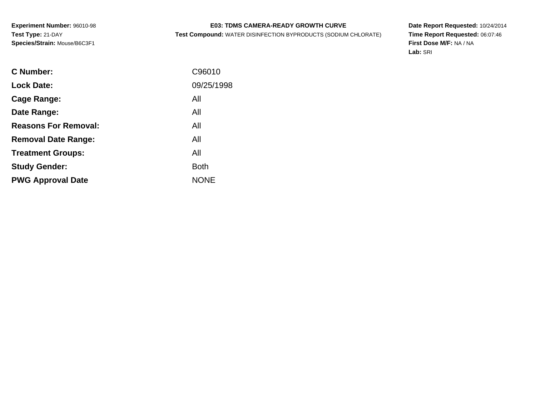# **E03: TDMS CAMERA-READY GROWTH CURVE**

**Test Compound:** WATER DISINFECTION BYPRODUCTS (SODIUM CHLORATE)

**Date Report Requested:** 10/24/2014 **Time Report Requested:** 06:07:46**First Dose M/F:** NA / NA**Lab:** SRI

| C96010      |
|-------------|
| 09/25/1998  |
| All         |
| All         |
| All         |
| All         |
| All         |
| <b>Both</b> |
| <b>NONE</b> |
|             |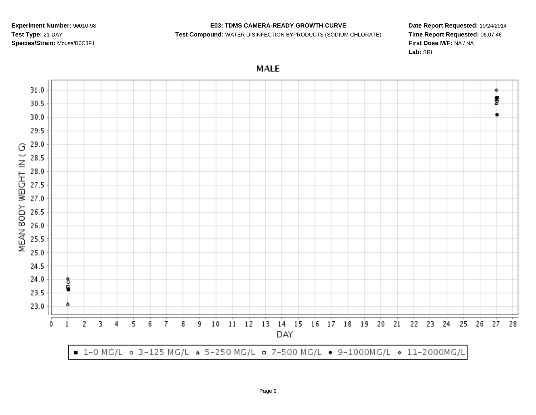## **E03: TDMS CAMERA-READY GROWTH CURVE**

#### **Test Compound:** WATER DISINFECTION BYPRODUCTS (SODIUM CHLORATE)

**Date Report Requested:** 10/24/2014**Time Report Requested:** 06:07:46**First Dose M/F:** NA / NA**Lab:** SRI

**MALE** 

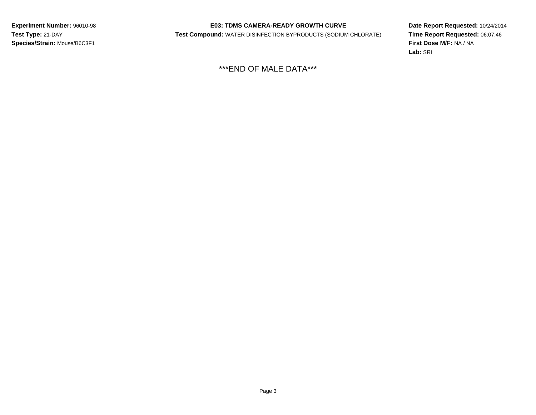## **E03: TDMS CAMERA-READY GROWTH CURVE**

**Test Compound:** WATER DISINFECTION BYPRODUCTS (SODIUM CHLORATE)

**Date Report Requested:** 10/24/2014 **Time Report Requested:** 06:07:46**First Dose M/F:** NA / NA**Lab:** SRI

\*\*\*END OF MALE DATA\*\*\*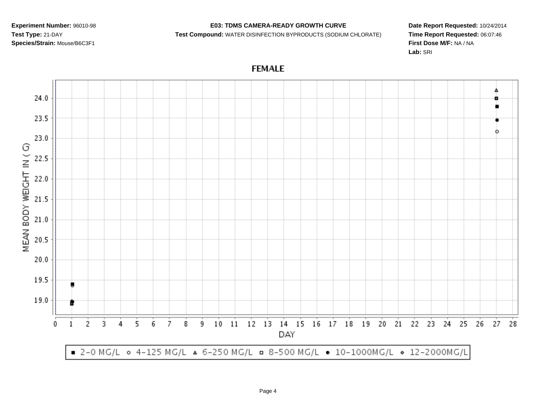## **E03: TDMS CAMERA-READY GROWTH CURVE**

#### **Test Compound:** WATER DISINFECTION BYPRODUCTS (SODIUM CHLORATE)

**Date Report Requested:** 10/24/2014**Time Report Requested:** 06:07:46**First Dose M/F:** NA / NA**Lab:** SRI

Δ  $24.0$ 23.5 ۰ 23.0 MEAN BODY WEIGHT IN (G) 22.5 22.0 21.5  $21.0$ 20.5 20.0 19.5 19.0 12 13 14 15 16 17 18 19 20  $\overline{c}$ 3 5 6 7  $10$  $11$ 21 22 23 24 25 26 27 0 4 8 9 28 1 DAY ■ 2-0 MG/L ○ 4-125 MG/L △ 6-250 MG/L □ 8-500 MG/L ● 10-1000MG/L ◇ 12-2000MG/L

# **FEMALE**